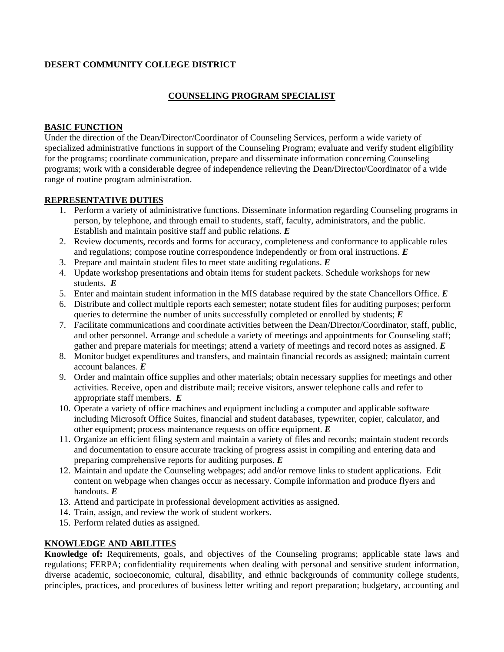#### **DESERT COMMUNITY COLLEGE DISTRICT**

### **COUNSELING PROGRAM SPECIALIST**

#### **BASIC FUNCTION**

Under the direction of the Dean/Director/Coordinator of Counseling Services, perform a wide variety of specialized administrative functions in support of the Counseling Program; evaluate and verify student eligibility for the programs; coordinate communication, prepare and disseminate information concerning Counseling programs; work with a considerable degree of independence relieving the Dean/Director/Coordinator of a wide range of routine program administration.

#### **REPRESENTATIVE DUTIES**

- 1. Perform a variety of administrative functions. Disseminate information regarding Counseling programs in person, by telephone, and through email to students, staff, faculty, administrators, and the public. Establish and maintain positive staff and public relations. *E*
- 2. Review documents, records and forms for accuracy, completeness and conformance to applicable rules and regulations; compose routine correspondence independently or from oral instructions. *E*
- 3. Prepare and maintain student files to meet state auditing regulations. *E*
- 4. Update workshop presentations and obtain items for student packets. Schedule workshops for new students*. E*
- 5. Enter and maintain student information in the MIS database required by the state Chancellors Office. *E*
- 6. Distribute and collect multiple reports each semester; notate student files for auditing purposes; perform queries to determine the number of units successfully completed or enrolled by students; *E*
- 7. Facilitate communications and coordinate activities between the Dean/Director/Coordinator, staff, public, and other personnel. Arrange and schedule a variety of meetings and appointments for Counseling staff; gather and prepare materials for meetings; attend a variety of meetings and record notes as assigned. *E*
- 8. Monitor budget expenditures and transfers, and maintain financial records as assigned; maintain current account balances. *E*
- 9. Order and maintain office supplies and other materials; obtain necessary supplies for meetings and other activities. Receive, open and distribute mail; receive visitors, answer telephone calls and refer to appropriate staff members. *E*
- 10. Operate a variety of office machines and equipment including a computer and applicable software including Microsoft Office Suites, financial and student databases, typewriter, copier, calculator, and other equipment; process maintenance requests on office equipment. *E*
- 11. Organize an efficient filing system and maintain a variety of files and records; maintain student records and documentation to ensure accurate tracking of progress assist in compiling and entering data and preparing comprehensive reports for auditing purposes. *E*
- 12. Maintain and update the Counseling webpages; add and/or remove links to student applications. Edit content on webpage when changes occur as necessary. Compile information and produce flyers and handouts. *E*
- 13. Attend and participate in professional development activities as assigned.
- 14. Train, assign, and review the work of student workers.
- 15. Perform related duties as assigned.

### **KNOWLEDGE AND ABILITIES**

**Knowledge of:** Requirements, goals, and objectives of the Counseling programs; applicable state laws and regulations; FERPA; confidentiality requirements when dealing with personal and sensitive student information, diverse academic, socioeconomic, cultural, disability, and ethnic backgrounds of community college students, principles, practices, and procedures of business letter writing and report preparation; budgetary, accounting and